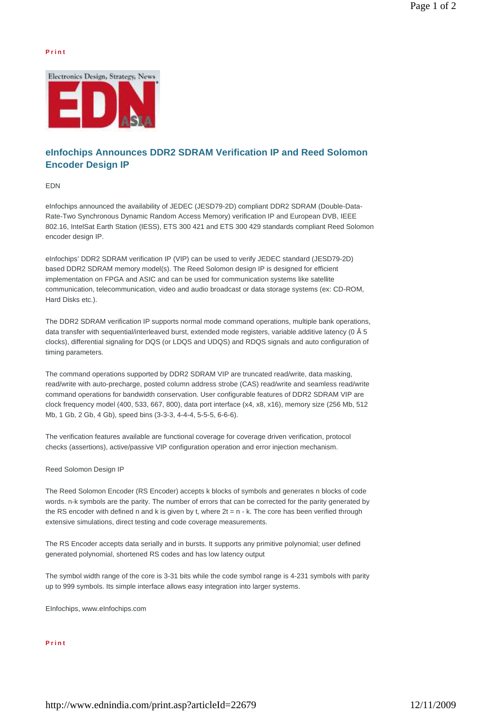## **P r i n t**



## **eInfochips Announces DDR2 SDRAM Verification IP and Reed Solomon Encoder Design IP**

EDN

eInfochips announced the availability of JEDEC (JESD79-2D) compliant DDR2 SDRAM (Double-Data-Rate-Two Synchronous Dynamic Random Access Memory) verification IP and European DVB, IEEE 802.16, IntelSat Earth Station (IESS), ETS 300 421 and ETS 300 429 standards compliant Reed Solomon encoder design IP.

eInfochips' DDR2 SDRAM verification IP (VIP) can be used to verify JEDEC standard (JESD79-2D) based DDR2 SDRAM memory model(s). The Reed Solomon design IP is designed for efficient implementation on FPGA and ASIC and can be used for communication systems like satellite communication, telecommunication, video and audio broadcast or data storage systems (ex: CD-ROM, Hard Disks etc.).

The DDR2 SDRAM verification IP supports normal mode command operations, multiple bank operations, data transfer with sequential/interleaved burst, extended mode registers, variable additive latency (0 Â 5 clocks), differential signaling for DQS (or LDQS and UDQS) and RDQS signals and auto configuration of timing parameters.

The command operations supported by DDR2 SDRAM VIP are truncated read/write, data masking, read/write with auto-precharge, posted column address strobe (CAS) read/write and seamless read/write command operations for bandwidth conservation. User configurable features of DDR2 SDRAM VIP are clock frequency model (400, 533, 667, 800), data port interface (x4, x8, x16), memory size (256 Mb, 512 Mb, 1 Gb, 2 Gb, 4 Gb), speed bins (3-3-3, 4-4-4, 5-5-5, 6-6-6).

The verification features available are functional coverage for coverage driven verification, protocol checks (assertions), active/passive VIP configuration operation and error injection mechanism.

Reed Solomon Design IP

The Reed Solomon Encoder (RS Encoder) accepts k blocks of symbols and generates n blocks of code words. n-k symbols are the parity. The number of errors that can be corrected for the parity generated by the RS encoder with defined n and k is given by t, where  $2t = n - k$ . The core has been verified through extensive simulations, direct testing and code coverage measurements.

The RS Encoder accepts data serially and in bursts. It supports any primitive polynomial; user defined generated polynomial, shortened RS codes and has low latency output

The symbol width range of the core is 3-31 bits while the code symbol range is 4-231 symbols with parity up to 999 symbols. Its simple interface allows easy integration into larger systems.

EInfochips, www.eInfochips.com

**P r i n t**